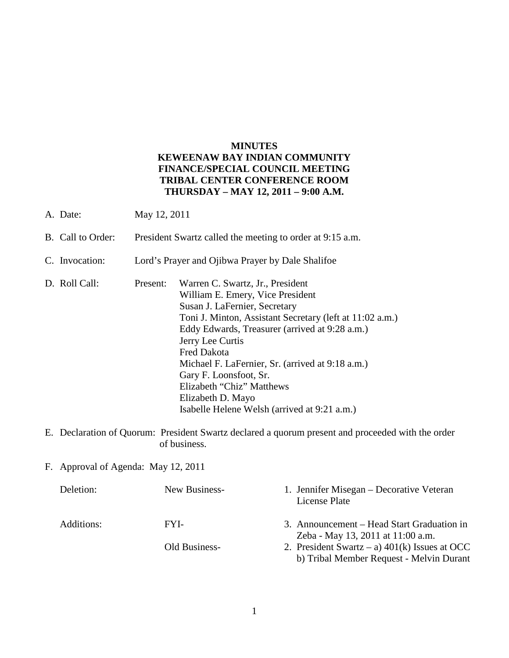## **MINUTES KEWEENAW BAY INDIAN COMMUNITY FINANCE/SPECIAL COUNCIL MEETING TRIBAL CENTER CONFERENCE ROOM THURSDAY – MAY 12, 2011 – 9:00 A.M.**

- A. Date: May 12, 2011
- B. Call to Order: President Swartz called the meeting to order at 9:15 a.m.
- C. Invocation: Lord's Prayer and Ojibwa Prayer by Dale Shalifoe
- D. Roll Call: Present: Warren C. Swartz, Jr., President William E. Emery, Vice President Susan J. LaFernier, Secretary Toni J. Minton, Assistant Secretary (left at 11:02 a.m.) Eddy Edwards, Treasurer (arrived at 9:28 a.m.) Jerry Lee Curtis Fred Dakota Michael F. LaFernier, Sr. (arrived at 9:18 a.m.) Gary F. Loonsfoot, Sr. Elizabeth "Chiz" Matthews Elizabeth D. Mayo Isabelle Helene Welsh (arrived at 9:21 a.m.)
- E. Declaration of Quorum: President Swartz declared a quorum present and proceeded with the order of business.
- F. Approval of Agenda: May 12, 2011

| Deletion:  | New Business- | 1. Jennifer Misegan – Decorative Veteran<br>License Plate                                   |
|------------|---------------|---------------------------------------------------------------------------------------------|
| Additions: | FYI-          | 3. Announcement – Head Start Graduation in<br>Zeba - May 13, 2011 at 11:00 a.m.             |
|            | Old Business- | 2. President Swartz – a) $401(k)$ Issues at OCC<br>b) Tribal Member Request - Melvin Durant |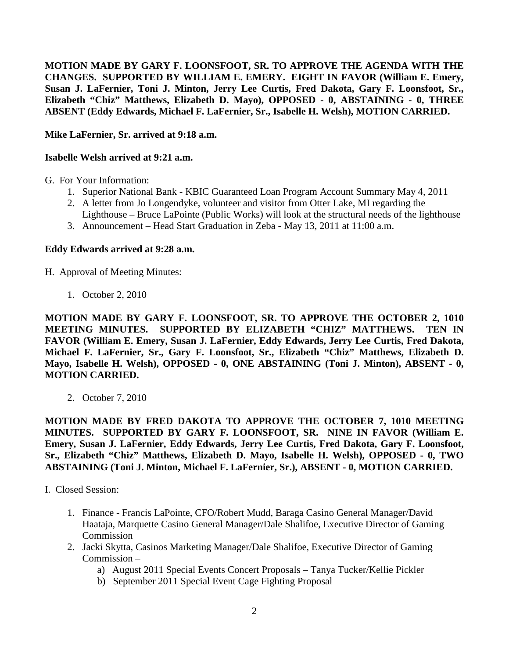**MOTION MADE BY GARY F. LOONSFOOT, SR. TO APPROVE THE AGENDA WITH THE CHANGES. SUPPORTED BY WILLIAM E. EMERY. EIGHT IN FAVOR (William E. Emery, Susan J. LaFernier, Toni J. Minton, Jerry Lee Curtis, Fred Dakota, Gary F. Loonsfoot, Sr., Elizabeth "Chiz" Matthews, Elizabeth D. Mayo), OPPOSED - 0, ABSTAINING - 0, THREE ABSENT (Eddy Edwards, Michael F. LaFernier, Sr., Isabelle H. Welsh), MOTION CARRIED.**

**Mike LaFernier, Sr. arrived at 9:18 a.m.** 

## **Isabelle Welsh arrived at 9:21 a.m.**

- G. For Your Information:
	- 1. Superior National Bank KBIC Guaranteed Loan Program Account Summary May 4, 2011
	- 2. A letter from Jo Longendyke, volunteer and visitor from Otter Lake, MI regarding the
	- Lighthouse Bruce LaPointe (Public Works) will look at the structural needs of the lighthouse
	- 3. Announcement Head Start Graduation in Zeba May 13, 2011 at 11:00 a.m.

## **Eddy Edwards arrived at 9:28 a.m.**

H. Approval of Meeting Minutes:

1. October 2, 2010

**MOTION MADE BY GARY F. LOONSFOOT, SR. TO APPROVE THE OCTOBER 2, 1010 MEETING MINUTES. SUPPORTED BY ELIZABETH "CHIZ" MATTHEWS. TEN IN FAVOR (William E. Emery, Susan J. LaFernier, Eddy Edwards, Jerry Lee Curtis, Fred Dakota, Michael F. LaFernier, Sr., Gary F. Loonsfoot, Sr., Elizabeth "Chiz" Matthews, Elizabeth D. Mayo, Isabelle H. Welsh), OPPOSED - 0, ONE ABSTAINING (Toni J. Minton), ABSENT - 0, MOTION CARRIED.**

2. October 7, 2010

**MOTION MADE BY FRED DAKOTA TO APPROVE THE OCTOBER 7, 1010 MEETING MINUTES. SUPPORTED BY GARY F. LOONSFOOT, SR. NINE IN FAVOR (William E. Emery, Susan J. LaFernier, Eddy Edwards, Jerry Lee Curtis, Fred Dakota, Gary F. Loonsfoot, Sr., Elizabeth "Chiz" Matthews, Elizabeth D. Mayo, Isabelle H. Welsh), OPPOSED - 0, TWO ABSTAINING (Toni J. Minton, Michael F. LaFernier, Sr.), ABSENT - 0, MOTION CARRIED.**

I. Closed Session:

- 1. Finance Francis LaPointe, CFO/Robert Mudd, Baraga Casino General Manager/David Haataja, Marquette Casino General Manager/Dale Shalifoe, Executive Director of Gaming Commission
- 2. Jacki Skytta, Casinos Marketing Manager/Dale Shalifoe, Executive Director of Gaming Commission –
	- a) August 2011 Special Events Concert Proposals Tanya Tucker/Kellie Pickler
	- b) September 2011 Special Event Cage Fighting Proposal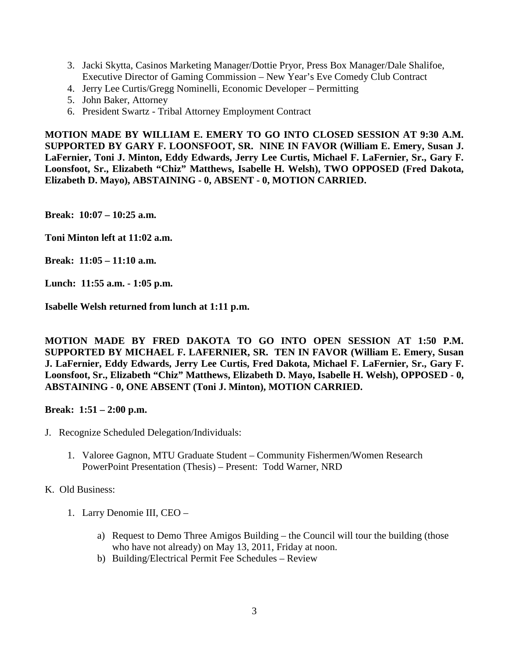- 3. Jacki Skytta, Casinos Marketing Manager/Dottie Pryor, Press Box Manager/Dale Shalifoe, Executive Director of Gaming Commission – New Year's Eve Comedy Club Contract
- 4. Jerry Lee Curtis/Gregg Nominelli, Economic Developer Permitting
- 5. John Baker, Attorney
- 6. President Swartz Tribal Attorney Employment Contract

**MOTION MADE BY WILLIAM E. EMERY TO GO INTO CLOSED SESSION AT 9:30 A.M. SUPPORTED BY GARY F. LOONSFOOT, SR. NINE IN FAVOR (William E. Emery, Susan J. LaFernier, Toni J. Minton, Eddy Edwards, Jerry Lee Curtis, Michael F. LaFernier, Sr., Gary F. Loonsfoot, Sr., Elizabeth "Chiz" Matthews, Isabelle H. Welsh), TWO OPPOSED (Fred Dakota, Elizabeth D. Mayo), ABSTAINING - 0, ABSENT - 0, MOTION CARRIED.**

**Break: 10:07 – 10:25 a.m.** 

**Toni Minton left at 11:02 a.m.** 

**Break: 11:05 – 11:10 a.m.** 

**Lunch: 11:55 a.m. - 1:05 p.m.**

**Isabelle Welsh returned from lunch at 1:11 p.m.** 

**MOTION MADE BY FRED DAKOTA TO GO INTO OPEN SESSION AT 1:50 P.M. SUPPORTED BY MICHAEL F. LAFERNIER, SR. TEN IN FAVOR (William E. Emery, Susan J. LaFernier, Eddy Edwards, Jerry Lee Curtis, Fred Dakota, Michael F. LaFernier, Sr., Gary F. Loonsfoot, Sr., Elizabeth "Chiz" Matthews, Elizabeth D. Mayo, Isabelle H. Welsh), OPPOSED - 0, ABSTAINING - 0, ONE ABSENT (Toni J. Minton), MOTION CARRIED.**

**Break: 1:51 – 2:00 p.m.** 

- J. Recognize Scheduled Delegation/Individuals:
	- 1. Valoree Gagnon, MTU Graduate Student Community Fishermen/Women Research PowerPoint Presentation (Thesis) – Present: Todd Warner, NRD

## K. Old Business:

- 1. Larry Denomie III, CEO
	- a) Request to Demo Three Amigos Building the Council will tour the building (those who have not already) on May 13, 2011, Friday at noon.
	- b) Building/Electrical Permit Fee Schedules Review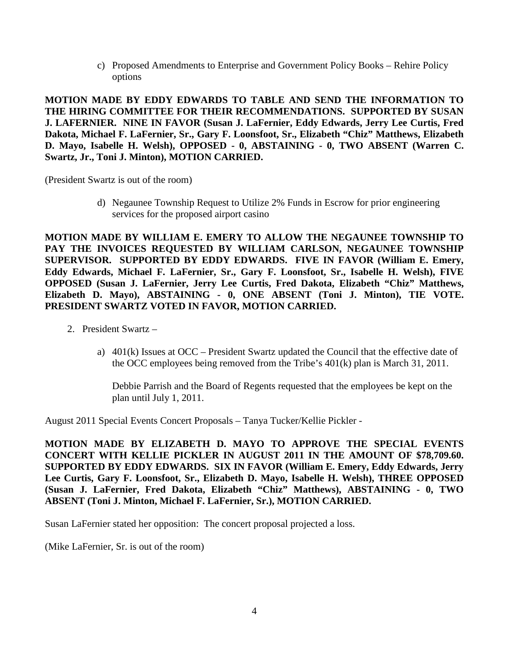c) Proposed Amendments to Enterprise and Government Policy Books – Rehire Policy options

**MOTION MADE BY EDDY EDWARDS TO TABLE AND SEND THE INFORMATION TO THE HIRING COMMITTEE FOR THEIR RECOMMENDATIONS. SUPPORTED BY SUSAN J. LAFERNIER. NINE IN FAVOR (Susan J. LaFernier, Eddy Edwards, Jerry Lee Curtis, Fred Dakota, Michael F. LaFernier, Sr., Gary F. Loonsfoot, Sr., Elizabeth "Chiz" Matthews, Elizabeth D. Mayo, Isabelle H. Welsh), OPPOSED - 0, ABSTAINING - 0, TWO ABSENT (Warren C. Swartz, Jr., Toni J. Minton), MOTION CARRIED.** 

(President Swartz is out of the room)

d) Negaunee Township Request to Utilize 2% Funds in Escrow for prior engineering services for the proposed airport casino

**MOTION MADE BY WILLIAM E. EMERY TO ALLOW THE NEGAUNEE TOWNSHIP TO PAY THE INVOICES REQUESTED BY WILLIAM CARLSON, NEGAUNEE TOWNSHIP SUPERVISOR. SUPPORTED BY EDDY EDWARDS. FIVE IN FAVOR (William E. Emery, Eddy Edwards, Michael F. LaFernier, Sr., Gary F. Loonsfoot, Sr., Isabelle H. Welsh), FIVE OPPOSED (Susan J. LaFernier, Jerry Lee Curtis, Fred Dakota, Elizabeth "Chiz" Matthews, Elizabeth D. Mayo), ABSTAINING - 0, ONE ABSENT (Toni J. Minton), TIE VOTE. PRESIDENT SWARTZ VOTED IN FAVOR, MOTION CARRIED.**

- 2. President Swartz
	- a) 401(k) Issues at OCC President Swartz updated the Council that the effective date of the OCC employees being removed from the Tribe's 401(k) plan is March 31, 2011.

Debbie Parrish and the Board of Regents requested that the employees be kept on the plan until July 1, 2011.

August 2011 Special Events Concert Proposals – Tanya Tucker/Kellie Pickler -

**MOTION MADE BY ELIZABETH D. MAYO TO APPROVE THE SPECIAL EVENTS CONCERT WITH KELLIE PICKLER IN AUGUST 2011 IN THE AMOUNT OF \$78,709.60. SUPPORTED BY EDDY EDWARDS. SIX IN FAVOR (William E. Emery, Eddy Edwards, Jerry Lee Curtis, Gary F. Loonsfoot, Sr., Elizabeth D. Mayo, Isabelle H. Welsh), THREE OPPOSED (Susan J. LaFernier, Fred Dakota, Elizabeth "Chiz" Matthews), ABSTAINING - 0, TWO ABSENT (Toni J. Minton, Michael F. LaFernier, Sr.), MOTION CARRIED.**

Susan LaFernier stated her opposition: The concert proposal projected a loss.

(Mike LaFernier, Sr. is out of the room)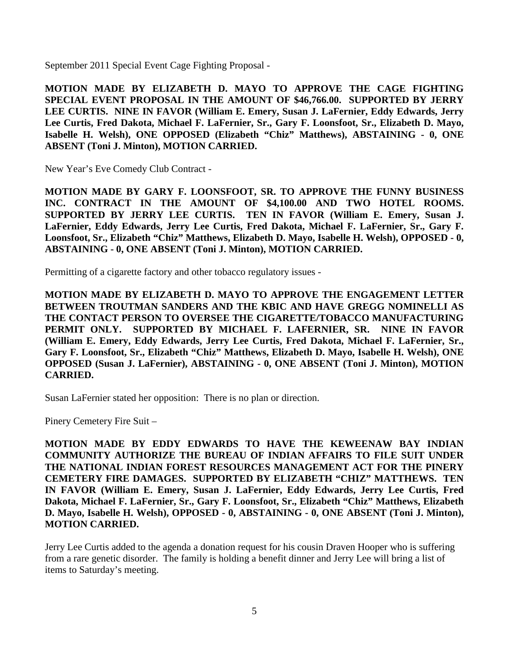September 2011 Special Event Cage Fighting Proposal -

**MOTION MADE BY ELIZABETH D. MAYO TO APPROVE THE CAGE FIGHTING SPECIAL EVENT PROPOSAL IN THE AMOUNT OF \$46,766.00. SUPPORTED BY JERRY LEE CURTIS. NINE IN FAVOR (William E. Emery, Susan J. LaFernier, Eddy Edwards, Jerry Lee Curtis, Fred Dakota, Michael F. LaFernier, Sr., Gary F. Loonsfoot, Sr., Elizabeth D. Mayo, Isabelle H. Welsh), ONE OPPOSED (Elizabeth "Chiz" Matthews), ABSTAINING - 0, ONE ABSENT (Toni J. Minton), MOTION CARRIED.**

New Year's Eve Comedy Club Contract -

**MOTION MADE BY GARY F. LOONSFOOT, SR. TO APPROVE THE FUNNY BUSINESS INC. CONTRACT IN THE AMOUNT OF \$4,100.00 AND TWO HOTEL ROOMS. SUPPORTED BY JERRY LEE CURTIS. TEN IN FAVOR (William E. Emery, Susan J. LaFernier, Eddy Edwards, Jerry Lee Curtis, Fred Dakota, Michael F. LaFernier, Sr., Gary F. Loonsfoot, Sr., Elizabeth "Chiz" Matthews, Elizabeth D. Mayo, Isabelle H. Welsh), OPPOSED - 0, ABSTAINING - 0, ONE ABSENT (Toni J. Minton), MOTION CARRIED.**

Permitting of a cigarette factory and other tobacco regulatory issues -

**MOTION MADE BY ELIZABETH D. MAYO TO APPROVE THE ENGAGEMENT LETTER BETWEEN TROUTMAN SANDERS AND THE KBIC AND HAVE GREGG NOMINELLI AS THE CONTACT PERSON TO OVERSEE THE CIGARETTE/TOBACCO MANUFACTURING PERMIT ONLY. SUPPORTED BY MICHAEL F. LAFERNIER, SR. NINE IN FAVOR (William E. Emery, Eddy Edwards, Jerry Lee Curtis, Fred Dakota, Michael F. LaFernier, Sr., Gary F. Loonsfoot, Sr., Elizabeth "Chiz" Matthews, Elizabeth D. Mayo, Isabelle H. Welsh), ONE OPPOSED (Susan J. LaFernier), ABSTAINING - 0, ONE ABSENT (Toni J. Minton), MOTION CARRIED.**

Susan LaFernier stated her opposition: There is no plan or direction.

Pinery Cemetery Fire Suit –

**MOTION MADE BY EDDY EDWARDS TO HAVE THE KEWEENAW BAY INDIAN COMMUNITY AUTHORIZE THE BUREAU OF INDIAN AFFAIRS TO FILE SUIT UNDER THE NATIONAL INDIAN FOREST RESOURCES MANAGEMENT ACT FOR THE PINERY CEMETERY FIRE DAMAGES. SUPPORTED BY ELIZABETH "CHIZ" MATTHEWS. TEN IN FAVOR (William E. Emery, Susan J. LaFernier, Eddy Edwards, Jerry Lee Curtis, Fred Dakota, Michael F. LaFernier, Sr., Gary F. Loonsfoot, Sr., Elizabeth "Chiz" Matthews, Elizabeth D. Mayo, Isabelle H. Welsh), OPPOSED - 0, ABSTAINING - 0, ONE ABSENT (Toni J. Minton), MOTION CARRIED.**

Jerry Lee Curtis added to the agenda a donation request for his cousin Draven Hooper who is suffering from a rare genetic disorder. The family is holding a benefit dinner and Jerry Lee will bring a list of items to Saturday's meeting.